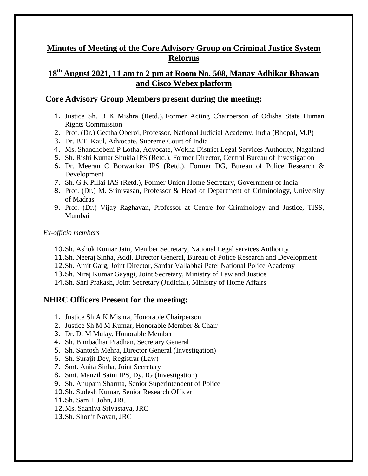# **Minutes of Meeting of the Core Advisory Group on Criminal Justice System Reforms**

# **18th August 2021, 11 am to 2 pm at Room No. 508, Manav Adhikar Bhawan and Cisco Webex platform**

# **Core Advisory Group Members present during the meeting:**

- 1. Justice Sh. B K Mishra (Retd.), Former Acting Chairperson of Odisha State Human Rights Commission
- 2. Prof. (Dr.) Geetha Oberoi, Professor, National Judicial Academy, India (Bhopal, M.P)
- 3. Dr. B.T. Kaul, Advocate, Supreme Court of India
- 4. Ms. Shanchobeni P Lotha, Advocate, Wokha District Legal Services Authority, Nagaland
- 5. Sh. Rishi Kumar Shukla IPS (Retd.), Former Director, Central Bureau of Investigation
- 6. Dr. Meeran C Borwankar IPS (Retd.), Former DG, Bureau of Police Research & Development
- 7. Sh. G K Pillai IAS (Retd.), Former Union Home Secretary, Government of India
- 8. Prof. (Dr.) M. Srinivasan, Professor & Head of Department of Criminology, University of Madras
- 9. Prof. (Dr.) Vijay Raghavan, Professor at Centre for Criminology and Justice, TISS, Mumbai

# *Ex-officio members*

- 10.Sh. Ashok Kumar Jain, Member Secretary, National Legal services Authority
- 11.Sh. Neeraj Sinha, Addl. Director General, Bureau of Police Research and Development
- 12.Sh. Amit Garg, Joint Director, Sardar Vallabhai Patel National Police Academy
- 13.Sh. Niraj Kumar Gayagi, Joint Secretary, Ministry of Law and Justice
- 14.Sh. Shri Prakash, Joint Secretary (Judicial), Ministry of Home Affairs

# **NHRC Officers Present for the meeting:**

- 1. Justice Sh A K Mishra, Honorable Chairperson
- 2. Justice Sh M M Kumar, Honorable Member & Chair
- 3. Dr. D. M Mulay, Honorable Member
- 4. Sh. Bimbadhar Pradhan, Secretary General
- 5. Sh. Santosh Mehra, Director General (Investigation)
- 6. Sh. Surajit Dey, Registrar (Law)
- 7. Smt. Anita Sinha, Joint Secretary
- 8. Smt. Manzil Saini IPS, Dy. IG (Investigation)
- 9. Sh. Anupam Sharma, Senior Superintendent of Police
- 10.Sh. Sudesh Kumar, Senior Research Officer
- 11.Sh. Sam T John, JRC
- 12.Ms. Saaniya Srivastava, JRC
- 13.Sh. Shonit Nayan, JRC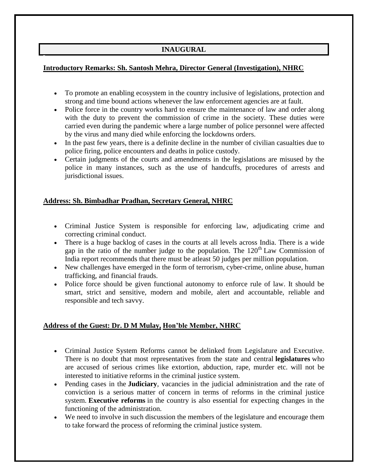# **INAUGURAL**

### **Introductory Remarks: Sh. Santosh Mehra, Director General (Investigation), NHRC**

- To promote an enabling ecosystem in the country inclusive of legislations, protection and strong and time bound actions whenever the law enforcement agencies are at fault.
- Police force in the country works hard to ensure the maintenance of law and order along with the duty to prevent the commission of crime in the society. These duties were carried even during the pandemic where a large number of police personnel were affected by the virus and many died while enforcing the lockdowns orders.
- In the past few years, there is a definite decline in the number of civilian casualties due to police firing, police encounters and deaths in police custody.
- Certain judgments of the courts and amendments in the legislations are misused by the police in many instances, such as the use of handcuffs, procedures of arrests and jurisdictional issues.

### **Address: Sh. Bimbadhar Pradhan, Secretary General, NHRC**

- Criminal Justice System is responsible for enforcing law, adjudicating crime and correcting criminal conduct.
- There is a huge backlog of cases in the courts at all levels across India. There is a wide gap in the ratio of the number judge to the population. The  $120<sup>th</sup>$  Law Commission of India report recommends that there must be atleast 50 judges per million population.
- New challenges have emerged in the form of terrorism, cyber-crime, online abuse, human trafficking, and financial frauds.
- Police force should be given functional autonomy to enforce rule of law. It should be smart, strict and sensitive, modern and mobile, alert and accountable, reliable and responsible and tech savvy.

## **Address of the Guest: Dr. D M Mulay, Hon'ble Member, NHRC**

- Criminal Justice System Reforms cannot be delinked from Legislature and Executive. There is no doubt that most representatives from the state and central **legislatures** who are accused of serious crimes like extortion, abduction, rape, murder etc. will not be interested to initiative reforms in the criminal justice system.
- Pending cases in the **Judiciary**, vacancies in the judicial administration and the rate of conviction is a serious matter of concern in terms of reforms in the criminal justice system. **Executive reforms** in the country is also essential for expecting changes in the functioning of the administration.
- We need to involve in such discussion the members of the legislature and encourage them to take forward the process of reforming the criminal justice system.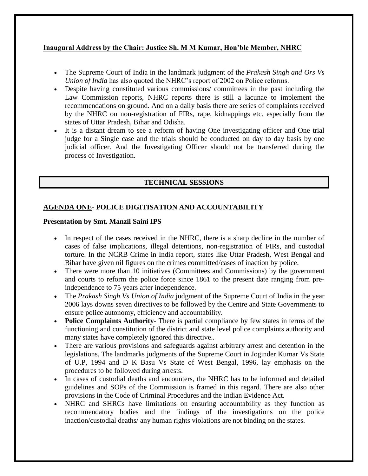## **Inaugural Address by the Chair: Justice Sh. M M Kumar, Hon'ble Member, NHRC**

- The Supreme Court of India in the landmark judgment of the *Prakash Singh and Ors Vs Union of India* has also quoted the NHRC's report of 2002 on Police reforms.
- Despite having constituted various commissions/ committees in the past including the Law Commission reports, NHRC reports there is still a lacunae to implement the recommendations on ground. And on a daily basis there are series of complaints received by the NHRC on non-registration of FIRs, rape, kidnappings etc. especially from the states of Uttar Pradesh, Bihar and Odisha.
- It is a distant dream to see a reform of having One investigating officer and One trial judge for a Single case and the trials should be conducted on day to day basis by one judicial officer. And the Investigating Officer should not be transferred during the process of Investigation.

# **TECHNICAL SESSIONS**

# **AGENDA ONE- POLICE DIGITISATION AND ACCOUNTABILITY**

### **Presentation by Smt. Manzil Saini IPS**

- In respect of the cases received in the NHRC, there is a sharp decline in the number of cases of false implications, illegal detentions, non-registration of FIRs, and custodial torture. In the NCRB Crime in India report, states like Uttar Pradesh, West Bengal and Bihar have given nil figures on the crimes committed/cases of inaction by police.
- There were more than 10 initiatives (Committees and Commissions) by the government and courts to reform the police force since 1861 to the present date ranging from preindependence to 75 years after independence.
- The *Prakash Singh Vs Union of India* judgment of the Supreme Court of India in the year 2006 lays downs seven directives to be followed by the Centre and State Governments to ensure police autonomy, efficiency and accountability.
- **Police Complaints Authority** There is partial compliance by few states in terms of the functioning and constitution of the district and state level police complaints authority and many states have completely ignored this directive..
- There are various provisions and safeguards against arbitrary arrest and detention in the legislations. The landmarks judgments of the Supreme Court in Joginder Kumar Vs State of U.P, 1994 and D K Basu Vs State of West Bengal, 1996, lay emphasis on the procedures to be followed during arrests.
- In cases of custodial deaths and encounters, the NHRC has to be informed and detailed guidelines and SOPs of the Commission is framed in this regard. There are also other provisions in the Code of Criminal Procedures and the Indian Evidence Act.
- NHRC and SHRCs have limitations on ensuring accountability as they function as recommendatory bodies and the findings of the investigations on the police inaction/custodial deaths/ any human rights violations are not binding on the states.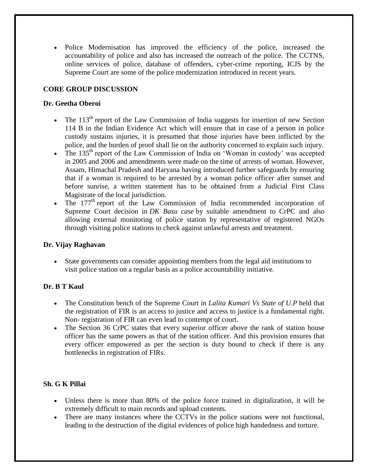Police Modernisation has improved the efficiency of the police, increased the accountability of police and also has increased the outreach of the police. The CCTNS, online services of police, database of offenders, cyber-crime reporting, ICJS by the Supreme Court are some of the police modernization introduced in recent years.

## **CORE GROUP DISCUSSION**

## **Dr. Geetha Oberoi**

- The  $113<sup>th</sup>$  report of the Law Commission of India suggests for insertion of new Section 114 B in the Indian Evidence Act which will ensure that in case of a person in police custody sustains injuries, it is presumed that those injuries have been inflicted by the police, and the burden of proof shall lie on the authority concerned to explain such injury.
- The 135<sup>th</sup> report of the Law Commission of India on 'Woman in custody' was accepted in 2005 and 2006 and amendments were made on the time of arrests of woman. However, Assam, Himachal Pradesh and Haryana having introduced further safeguards by ensuring that if a woman is required to be arrested by a woman police officer after sunset and before sunrise, a written statement has to be obtained from a Judicial First Class Magistrate of the local jurisdiction.
- The  $177<sup>th</sup>$  report of the Law Commission of India recommended incorporation of Supreme Court decision in *DK Basu case* by suitable amendment to CrPC and also allowing external monitoring of police station by representative of registered NGOs through visiting police stations to check against unlawful arrests and treatment.

## **Dr. Vijay Raghavan**

 State governments can consider appointing members from the legal aid institutions to visit police station on a regular basis as a police accountability initiative.

# **Dr. B T Kaul**

- The Constitution bench of the Supreme Court in *Lalita Kumari Vs State of U.P* held that the registration of FIR is an access to justice and access to justice is a fundamental right. Non- registration of FIR can even lead to contempt of court.
- The Section 36 CrPC states that every superior officer above the rank of station house officer has the same powers as that of the station officer. And this provision ensures that every officer empowered as per the section is duty bound to check if there is any bottlenecks in registration of FIRs.

# **Sh. G K Pillai**

- Unless there is more than 80% of the police force trained in digitalization, it will be extremely difficult to main records and upload contents.
- There are many instances where the CCTVs in the police stations were not functional, leading to the destruction of the digital evidences of police high handedness and torture.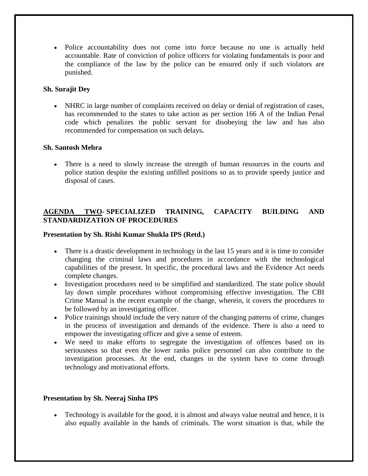• Police accountability does not come into force because no one is actually held accountable. Rate of conviction of police officers for violating fundamentals is poor and the compliance of the law by the police can be ensured only if such violators are punished.

### **Sh. Surajit Dey**

 NHRC in large number of complaints received on delay or denial of registration of cases, has recommended to the states to take action as per section 166 A of the Indian Penal code which penalizes the public servant for disobeying the law and has also recommended for compensation on such delays**.**

### **Sh. Santosh Mehra**

 There is a need to slowly increase the strength of human resources in the courts and police station despite the existing unfilled positions so as to provide speedy justice and disposal of cases.

# **AGENDA TWO- SPECIALIZED TRAINING, CAPACITY BUILDING AND STANDARDIZATION OF PROCEDURES**

#### **Presentation by Sh. Rishi Kumar Shukla IPS (Retd.)**

- There is a drastic development in technology in the last 15 years and it is time to consider changing the criminal laws and procedures in accordance with the technological capabilities of the present. In specific, the procedural laws and the Evidence Act needs complete changes.
- Investigation procedures need to be simplified and standardized. The state police should lay down simple procedures without compromising effective investigation. The CBI Crime Manual is the recent example of the change, wherein, it covers the procedures to be followed by an investigating officer.
- Police trainings should include the very nature of the changing patterns of crime, changes in the process of investigation and demands of the evidence. There is also a need to empower the investigating officer and give a sense of esteem.
- We need to make efforts to segregate the investigation of offences based on its seriousness so that even the lower ranks police personnel can also contribute to the investigation processes. At the end, changes in the system have to come through technology and motivational efforts.

#### **Presentation by Sh. Neeraj Sinha IPS**

 Technology is available for the good, it is almost and always value neutral and hence, it is also equally available in the hands of criminals. The worst situation is that, while the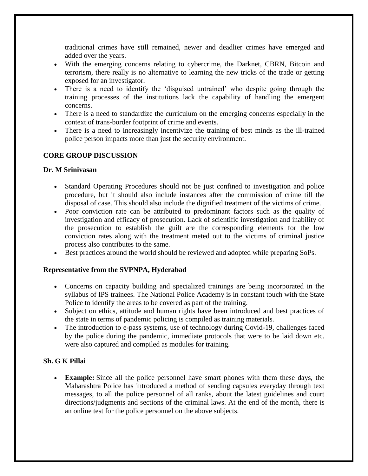traditional crimes have still remained, newer and deadlier crimes have emerged and added over the years.

- With the emerging concerns relating to cybercrime, the Darknet, CBRN, Bitcoin and terrorism, there really is no alternative to learning the new tricks of the trade or getting exposed for an investigator.
- There is a need to identify the 'disguised untrained' who despite going through the training processes of the institutions lack the capability of handling the emergent concerns.
- There is a need to standardize the curriculum on the emerging concerns especially in the context of trans-border footprint of crime and events.
- There is a need to increasingly incentivize the training of best minds as the ill-trained police person impacts more than just the security environment.

# **CORE GROUP DISCUSSION**

### **Dr. M Srinivasan**

- Standard Operating Procedures should not be just confined to investigation and police procedure, but it should also include instances after the commission of crime till the disposal of case. This should also include the dignified treatment of the victims of crime.
- Poor conviction rate can be attributed to predominant factors such as the quality of investigation and efficacy of prosecution. Lack of scientific investigation and inability of the prosecution to establish the guilt are the corresponding elements for the low conviction rates along with the treatment meted out to the victims of criminal justice process also contributes to the same.
- Best practices around the world should be reviewed and adopted while preparing SoPs.

## **Representative from the SVPNPA, Hyderabad**

- Concerns on capacity building and specialized trainings are being incorporated in the syllabus of IPS trainees. The National Police Academy is in constant touch with the State Police to identify the areas to be covered as part of the training.
- Subject on ethics, attitude and human rights have been introduced and best practices of the state in terms of pandemic policing is compiled as training materials.
- The introduction to e-pass systems, use of technology during Covid-19, challenges faced by the police during the pandemic, immediate protocols that were to be laid down etc. were also captured and compiled as modules for training.

## **Sh. G K Pillai**

 **Example:** Since all the police personnel have smart phones with them these days, the Maharashtra Police has introduced a method of sending capsules everyday through text messages, to all the police personnel of all ranks, about the latest guidelines and court directions/judgments and sections of the criminal laws. At the end of the month, there is an online test for the police personnel on the above subjects.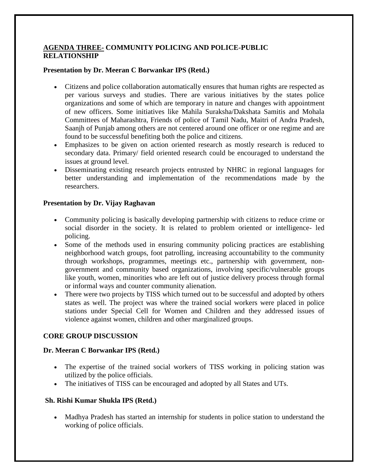## **AGENDA THREE- COMMUNITY POLICING AND POLICE-PUBLIC RELATIONSHIP**

### **Presentation by Dr. Meeran C Borwankar IPS (Retd.)**

- Citizens and police collaboration automatically ensures that human rights are respected as per various surveys and studies. There are various initiatives by the states police organizations and some of which are temporary in nature and changes with appointment of new officers. Some initiatives like Mahila Suraksha/Dakshata Samitis and Mohala Committees of Maharashtra, Friends of police of Tamil Nadu, Maitri of Andra Pradesh, Saanjh of Punjab among others are not centered around one officer or one regime and are found to be successful benefiting both the police and citizens.
- Emphasizes to be given on action oriented research as mostly research is reduced to secondary data. Primary/ field oriented research could be encouraged to understand the issues at ground level.
- Disseminating existing research projects entrusted by NHRC in regional languages for better understanding and implementation of the recommendations made by the researchers.

### **Presentation by Dr. Vijay Raghavan**

- Community policing is basically developing partnership with citizens to reduce crime or social disorder in the society. It is related to problem oriented or intelligence- led policing.
- Some of the methods used in ensuring community policing practices are establishing neighborhood watch groups, foot patrolling, increasing accountability to the community through workshops, programmes, meetings etc., partnership with government, nongovernment and community based organizations, involving specific/vulnerable groups like youth, women, minorities who are left out of justice delivery process through formal or informal ways and counter community alienation.
- There were two projects by TISS which turned out to be successful and adopted by others states as well. The project was where the trained social workers were placed in police stations under Special Cell for Women and Children and they addressed issues of violence against women, children and other marginalized groups.

## **CORE GROUP DISCUSSION**

#### **Dr. Meeran C Borwankar IPS (Retd.)**

- The expertise of the trained social workers of TISS working in policing station was utilized by the police officials.
- The initiatives of TISS can be encouraged and adopted by all States and UTs.

#### **Sh. Rishi Kumar Shukla IPS (Retd.)**

• Madhya Pradesh has started an internship for students in police station to understand the working of police officials.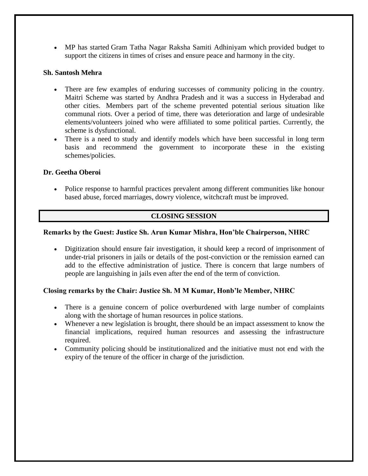MP has started Gram Tatha Nagar Raksha Samiti Adhiniyam which provided budget to support the citizens in times of crises and ensure peace and harmony in the city.

#### **Sh. Santosh Mehra**

- There are few examples of enduring successes of community policing in the country. Maitri Scheme was started by Andhra Pradesh and it was a success in Hyderabad and other cities. Members part of the scheme prevented potential serious situation like communal riots. Over a period of time, there was deterioration and large of undesirable elements/volunteers joined who were affiliated to some political parties. Currently, the scheme is dysfunctional.
- There is a need to study and identify models which have been successful in long term basis and recommend the government to incorporate these in the existing schemes/policies.

### **Dr. Geetha Oberoi**

 Police response to harmful practices prevalent among different communities like honour based abuse, forced marriages, dowry violence, witchcraft must be improved.

## **CLOSING SESSION**

#### **Remarks by the Guest: Justice Sh. Arun Kumar Mishra, Hon'ble Chairperson, NHRC**

 Digitization should ensure fair investigation, it should keep a record of imprisonment of under-trial prisoners in jails or details of the post-conviction or the remission earned can add to the effective administration of justice. There is concern that large numbers of people are languishing in jails even after the end of the term of conviction.

#### **Closing remarks by the Chair: Justice Sh. M M Kumar, Honb'le Member, NHRC**

- There is a genuine concern of police overburdened with large number of complaints along with the shortage of human resources in police stations.
- Whenever a new legislation is brought, there should be an impact assessment to know the financial implications, required human resources and assessing the infrastructure required.
- Community policing should be institutionalized and the initiative must not end with the expiry of the tenure of the officer in charge of the jurisdiction.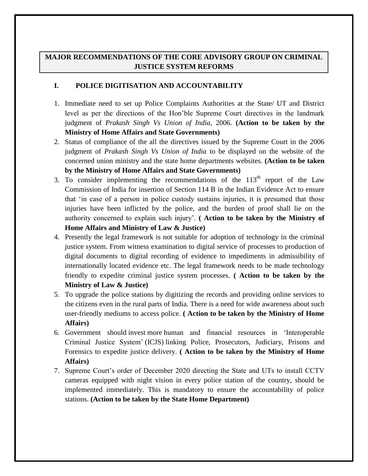# **MAJOR RECOMMENDATIONS OF THE CORE ADVISORY GROUP ON CRIMINAL JUSTICE SYSTEM REFORMS**

### **I. POLICE DIGITISATION AND ACCOUNTABILITY**

- 1. Immediate need to set up Police Complaints Authorities at the State/ UT and District level as per the directions of the Hon'ble Supreme Court directives in the landmark judgment of *Prakash Singh Vs Union of India,* 2006. **(Action to be taken by the Ministry of Home Affairs and State Governments)**
- 2. Status of compliance of the all the directives issued by the Supreme Court in the 2006 judgment of *Prakash Singh Vs Union of India* to be displayed on the website of the concerned union ministry and the state home departments websites. **(Action to be taken by the Ministry of Home Affairs and State Governments)**
- 3. To consider implementing the recommendations of the  $113<sup>th</sup>$  report of the Law Commission of India for insertion of Section 114 B in the Indian Evidence Act to ensure that 'in case of a person in police custody sustains injuries, it is presumed that those injuries have been inflicted by the police, and the burden of proof shall lie on the authority concerned to explain such injury'. **( Action to be taken by the Ministry of Home Affairs and Ministry of Law & Justice)**
- 4. Presently the legal framework is not suitable for adoption of technology in the criminal justice system. From witness examination to digital service of processes to production of digital documents to digital recording of evidence to impediments in admissibility of internationally located evidence etc. The legal framework needs to be made technology friendly to expedite criminal justice system processes. **( Action to be taken by the Ministry of Law & Justice)**
- 5. To upgrade the police stations by digitizing the records and providing online services to the citizens even in the rural parts of India. There is a need for wide awareness about such user-friendly mediums to access police. **( Action to be taken by the Ministry of Home Affairs)**
- 6. Government should invest more human and financial resources in 'Interoperable Criminal Justice System' (ICJS) linking Police, Prosecutors, Judiciary, Prisons and Forensics to expedite justice delivery. **( Action to be taken by the Ministry of Home Affairs)**
- 7. Supreme Court's order of December 2020 directing the State and UTs to install CCTV cameras equipped with night vision in every police station of the country, should be implemented immediately. This is mandatory to ensure the accountability of police stations. **(Action to be taken by the State Home Department)**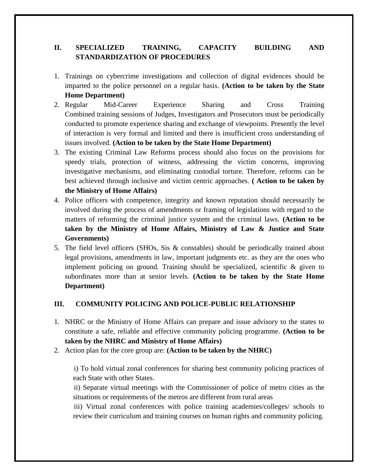# **II. SPECIALIZED TRAINING, CAPACITY BUILDING AND STANDARDIZATION OF PROCEDURES**

- 1. Trainings on cybercrime investigations and collection of digital evidences should be imparted to the police personnel on a regular basis. **(Action to be taken by the State Home Department)**
- 2. Regular Mid-Career Experience Sharing and Cross Training Combined training sessions of Judges, Investigators and Prosecutors must be periodically conducted to promote experience sharing and exchange of viewpoints. Presently the level of interaction is very formal and limited and there is insufficient cross understanding of issues involved. **(Action to be taken by the State Home Department)**
- 3. The existing Criminal Law Reforms process should also focus on the provisions for speedy trials, protection of witness, addressing the victim concerns, improving investigative mechanisms, and eliminating custodial torture. Therefore, reforms can be best achieved through inclusive and victim centric approaches. **( Action to be taken by the Ministry of Home Affairs)**
- 4. Police officers with competence, integrity and known reputation should necessarily be involved during the process of amendments or framing of legislations with regard to the matters of reforming the criminal justice system and the criminal laws. **(Action to be taken by the Ministry of Home Affairs, Ministry of Law & Justice and State Governments)**
- 5. The field level officers (SHOs, Sis & constables) should be periodically trained about legal provisions, amendments in law, important judgments etc. as they are the ones who implement policing on ground. Training should be specialized, scientific & given to subordinates more than at senior levels. **(Action to be taken by the State Home Department)**

## **III. COMMUNITY POLICING AND POLICE-PUBLIC RELATIONSHIP**

- 1. NHRC or the Ministry of Home Affairs can prepare and issue advisory to the states to constitute a safe, reliable and effective community policing programme. **(Action to be taken by the NHRC and Ministry of Home Affairs)**
- 2. Action plan for the core group are: **(Action to be taken by the NHRC)**

 i) To hold virtual zonal conferences for sharing best community policing practices of each State with other States.

 ii) Separate virtual meetings with the Commissioner of police of metro cities as the situations or requirements of the metros are different from rural areas

 iii) Virtual zonal conferences with police training academies/colleges/ schools to review their curriculum and training courses on human rights and community policing.